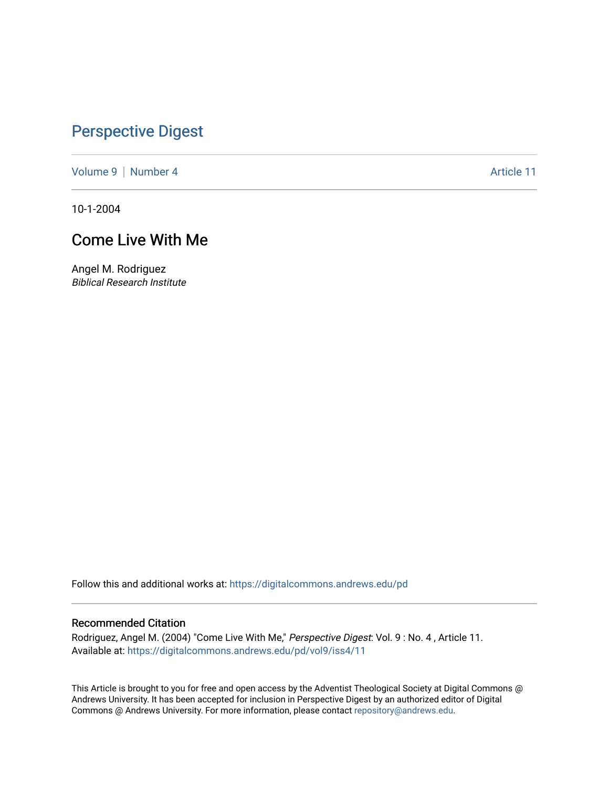## [Perspective Digest](https://digitalcommons.andrews.edu/pd)

[Volume 9](https://digitalcommons.andrews.edu/pd/vol9) | [Number 4](https://digitalcommons.andrews.edu/pd/vol9/iss4) Article 11

10-1-2004

## Come Live With Me

Angel M. Rodriguez Biblical Research Institute

Follow this and additional works at: [https://digitalcommons.andrews.edu/pd](https://digitalcommons.andrews.edu/pd?utm_source=digitalcommons.andrews.edu%2Fpd%2Fvol9%2Fiss4%2F11&utm_medium=PDF&utm_campaign=PDFCoverPages)

#### Recommended Citation

Rodriguez, Angel M. (2004) "Come Live With Me," Perspective Digest: Vol. 9: No. 4, Article 11. Available at: [https://digitalcommons.andrews.edu/pd/vol9/iss4/11](https://digitalcommons.andrews.edu/pd/vol9/iss4/11?utm_source=digitalcommons.andrews.edu%2Fpd%2Fvol9%2Fiss4%2F11&utm_medium=PDF&utm_campaign=PDFCoverPages)

This Article is brought to you for free and open access by the Adventist Theological Society at Digital Commons @ Andrews University. It has been accepted for inclusion in Perspective Digest by an authorized editor of Digital Commons @ Andrews University. For more information, please contact [repository@andrews.edu.](mailto:repository@andrews.edu)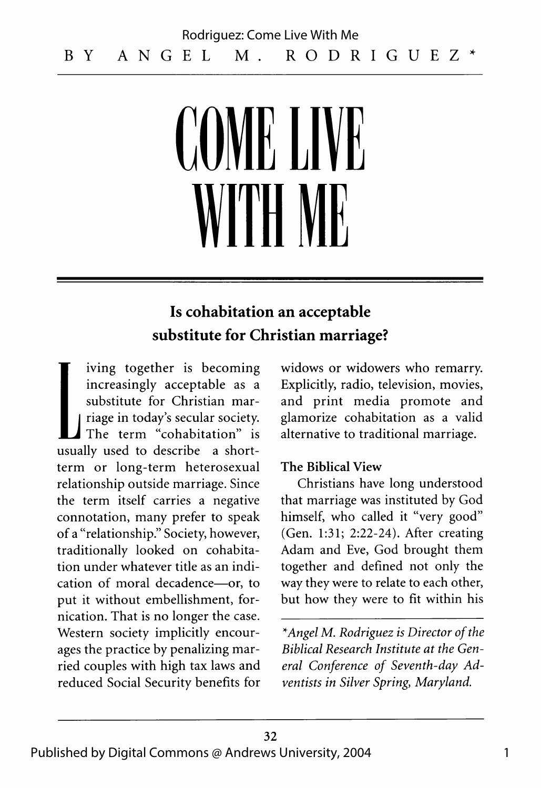# **COM E LIVE** WITH ME

### **Is cohabitation an acceptable substitute for Christian marriage?**

iving together is becoming increasingly acceptable as a substitute for Christian marriage in today's secular society. The term "cohabitation" is usually used to describe a shortterm or long-term heterosexual relationship outside marriage. Since the term itself carries a negative connotation, many prefer to speak of a "relationship." Society, however, traditionally looked on cohabitation under whatever title as an indication of moral decadence— or, to put it without embellishment, fornication. That is no longer the case. Western society implicitly encourages the practice by penalizing married couples with high tax laws and reduced Social Security benefits for

widows or widowers who remarry. Explicitly, radio, television, movies, and print media promote and glamorize cohabitation as a valid alternative to traditional marriage.

#### **The Biblical View**

Christians have long understood that marriage was instituted by God himself, who called it "very good" (Gen. 1:31; 2:22-24). After creating Adam and Eve, God brought them together and defined not only the way they were to relate to each other, but how they were to fit within his

*\*Angel M. Rodriguez is Director of the Biblical Research Institute at the General Conference of Seventh-day Adventists in Silver Spring*, *Maryland.*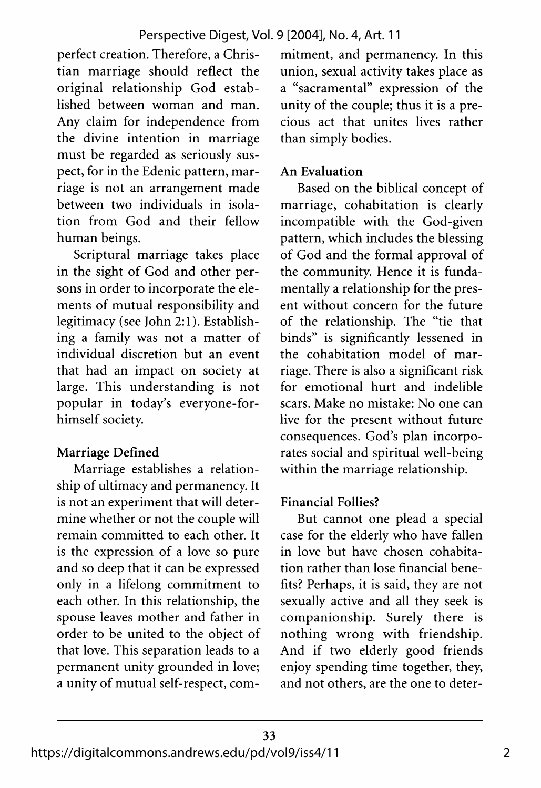perfect creation. Therefore, a Christian marriage should reflect the original relationship God established between woman and man. Any claim for independence from the divine intention in marriage must be regarded as seriously suspect, for in the Edenic pattern, marriage is not an arrangement made between two individuals in isolation from God and their fellow human beings.

Scriptural marriage takes place in the sight of God and other persons in order to incorporate the elements of mutual responsibility and legitimacy (see John 2:1). Establishing a family was not a matter of individual discretion but an event that had an impact on society at large. This understanding is not popular in today's everyone-forhimself society.

#### **Marriage Defined**

Marriage establishes a relationship of ultimacy and permanency. It is not an experiment that will determine whether or not the couple will remain committed to each other. It is the expression of a love so pure and so deep that it can be expressed only in a lifelong commitment to each other. In this relationship, the spouse leaves mother and father in order to be united to the object of that love. This separation leads to a permanent unity grounded in love; a unity of mutual self-respect, commitment, and permanency. In this union, sexual activity takes place as a "sacramental" expression of the unity of the couple; thus it is a precious act that unites lives rather than simply bodies.

#### **An Evaluation**

Based on the biblical concept of marriage, cohabitation is clearly incompatible with the God-given pattern, which includes the blessing of God and the formal approval of the community. Hence it is fundamentally a relationship for the present without concern for the future of the relationship. The "tie that binds" is significantly lessened in the cohabitation model of marriage. There is also a significant risk for emotional hurt and indelible scars. Make no mistake: No one can live for the present without future consequences. God's plan incorporates social and spiritual well-being within the marriage relationship.

#### **Financial Follies?**

But cannot one plead a special case for the elderly who have fallen in love but have chosen cohabitation rather than lose financial benefits? Perhaps, it is said, they are not sexually active and all they seek is companionship. Surely there is nothing wrong with friendship. And if two elderly good friends enjoy spending time together, they, and not others, are the one to deter